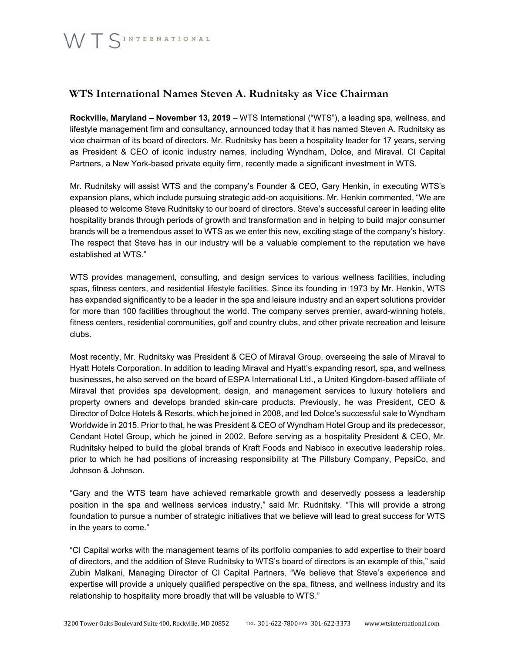## **WTS International Names Steven A. Rudnitsky as Vice Chairman**

**Rockville, Maryland – November 13, 2019** – WTS International ("WTS"), a leading spa, wellness, and lifestyle management firm and consultancy, announced today that it has named Steven A. Rudnitsky as vice chairman of its board of directors. Mr. Rudnitsky has been a hospitality leader for 17 years, serving as President & CEO of iconic industry names, including Wyndham, Dolce, and Miraval. CI Capital Partners, a New York-based private equity firm, recently made a significant investment in WTS.

Mr. Rudnitsky will assist WTS and the company's Founder & CEO, Gary Henkin, in executing WTS's expansion plans, which include pursuing strategic add-on acquisitions. Mr. Henkin commented, "We are pleased to welcome Steve Rudnitsky to our board of directors. Steve's successful career in leading elite hospitality brands through periods of growth and transformation and in helping to build major consumer brands will be a tremendous asset to WTS as we enter this new, exciting stage of the company's history. The respect that Steve has in our industry will be a valuable complement to the reputation we have established at WTS."

WTS provides management, consulting, and design services to various wellness facilities, including spas, fitness centers, and residential lifestyle facilities. Since its founding in 1973 by Mr. Henkin, WTS has expanded significantly to be a leader in the spa and leisure industry and an expert solutions provider for more than 100 facilities throughout the world. The company serves premier, award-winning hotels, fitness centers, residential communities, golf and country clubs, and other private recreation and leisure clubs.

Most recently, Mr. Rudnitsky was President & CEO of Miraval Group, overseeing the sale of Miraval to Hyatt Hotels Corporation. In addition to leading Miraval and Hyatt's expanding resort, spa, and wellness businesses, he also served on the board of ESPA International Ltd., a United Kingdom-based affiliate of Miraval that provides spa development, design, and management services to luxury hoteliers and property owners and develops branded skin-care products. Previously, he was President, CEO & Director of Dolce Hotels & Resorts, which he joined in 2008, and led Dolce's successful sale to Wyndham Worldwide in 2015. Prior to that, he was President & CEO of Wyndham Hotel Group and its predecessor, Cendant Hotel Group, which he joined in 2002. Before serving as a hospitality President & CEO, Mr. Rudnitsky helped to build the global brands of Kraft Foods and Nabisco in executive leadership roles, prior to which he had positions of increasing responsibility at The Pillsbury Company, PepsiCo, and Johnson & Johnson.

"Gary and the WTS team have achieved remarkable growth and deservedly possess a leadership position in the spa and wellness services industry," said Mr. Rudnitsky. "This will provide a strong foundation to pursue a number of strategic initiatives that we believe will lead to great success for WTS in the years to come."

"CI Capital works with the management teams of its portfolio companies to add expertise to their board of directors, and the addition of Steve Rudnitsky to WTS's board of directors is an example of this," said Zubin Malkani, Managing Director of CI Capital Partners. "We believe that Steve's experience and expertise will provide a uniquely qualified perspective on the spa, fitness, and wellness industry and its relationship to hospitality more broadly that will be valuable to WTS."